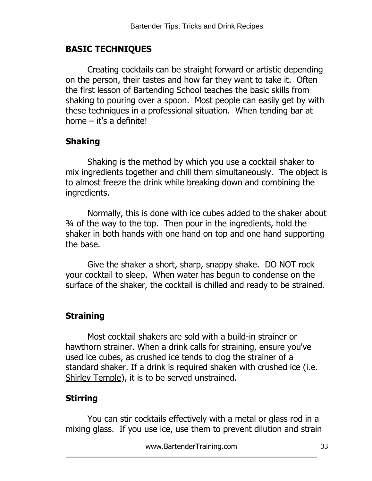#### **BASIC TECHNIQUES**

Creating cocktails can be straight forward or artistic depending on the person, their tastes and how far they want to take it. Often the first lesson of Bartending School teaches the basic skills from shaking to pouring over a spoon. Most people can easily get by with these techniques in a professional situation. When tending bar at home  $-$  it's a definite!

### **Shaking**

Shaking is the method by which you use a cocktail shaker to mix ingredients together and chill them simultaneously. The object is to almost freeze the drink while breaking down and combining the ingredients.

Normally, this is done with ice cubes added to the shaker about ¾ of the way to the top. Then pour in the ingredients, hold the shaker in both hands with one hand on top and one hand supporting the base.

Give the shaker a short, sharp, snappy shake. DO NOT rock your cocktail to sleep. When water has begun to condense on the surface of the shaker, the cocktail is chilled and ready to be strained.

## **Straining**

Most cocktail shakers are sold with a build-in strainer or hawthorn strainer. When a drink calls for straining, ensure you've used ice cubes, as crushed ice tends to clog the strainer of a standard shaker. If a drink is required shaken with crushed ice (i.e. [Shirley Temple\)](http://www.drinksmixer.com/drink3399.html), it is to be served unstrained.

## **Stirring**

You can stir cocktails effectively with a metal or glass rod in a mixing glass. If you use ice, use them to prevent dilution and strain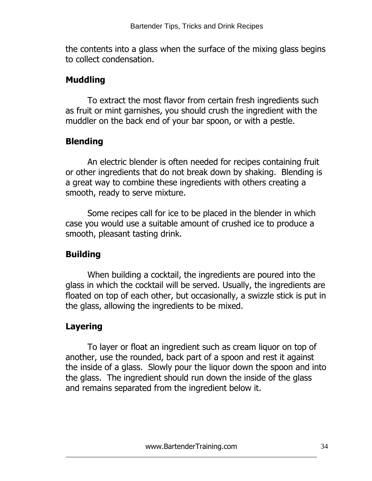the contents into a glass when the surface of the mixing glass begins to collect condensation.

### **Muddling**

To extract the most flavor from certain fresh ingredients such as fruit or mint garnishes, you should crush the ingredient with the muddler on the back end of your bar spoon, or with a pestle.

## **Blending**

An electric blender is often needed for recipes containing fruit or other ingredients that do not break down by shaking. Blending is a great way to combine these ingredients with others creating a smooth, ready to serve mixture.

Some recipes call for ice to be placed in the blender in which case you would use a suitable amount of crushed ice to produce a smooth, pleasant tasting drink.

## **Building**

When building a cocktail, the ingredients are poured into the glass in which the cocktail will be served. Usually, the ingredients are floated on top of each other, but occasionally, a swizzle stick is put in the glass, allowing the ingredients to be mixed.

# **Layering**

To layer or float an ingredient such as cream liquor on top of another, use the rounded, back part of a spoon and rest it against the inside of a glass. Slowly pour the liquor down the spoon and into the glass. The ingredient should run down the inside of the glass and remains separated from the ingredient below it.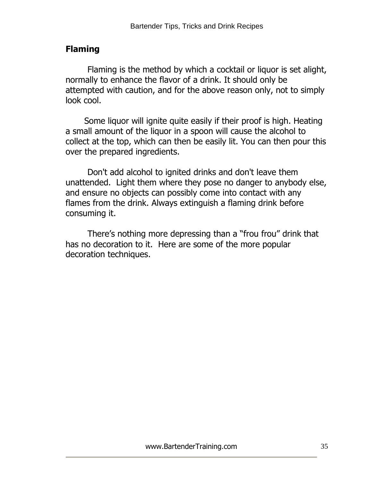## **Flaming**

Flaming is the method by which a cocktail or liquor is set alight, normally to enhance the flavor of a drink. It should only be attempted with caution, and for the above reason only, not to simply look cool.

 Some liquor will ignite quite easily if their proof is high. Heating a small amount of the liquor in a spoon will cause the alcohol to collect at the top, which can then be easily lit. You can then pour this over the prepared ingredients.

Don't add alcohol to ignited drinks and don't leave them unattended. Light them where they pose no danger to anybody else, and ensure no objects can possibly come into contact with any flames from the drink. Always extinguish a flaming drink before consuming it.

There"s nothing more depressing than a "frou frou" drink that has no decoration to it. Here are some of the more popular decoration techniques.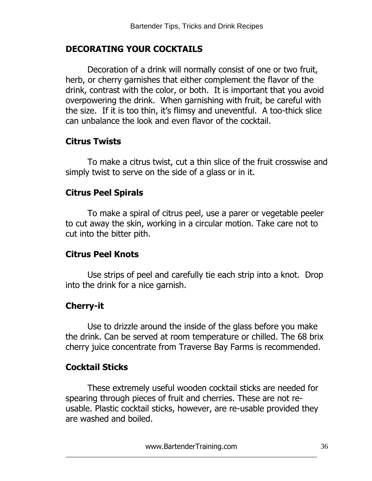### **DECORATING YOUR COCKTAILS**

Decoration of a drink will normally consist of one or two fruit, herb, or cherry garnishes that either complement the flavor of the drink, contrast with the color, or both. It is important that you avoid overpowering the drink. When garnishing with fruit, be careful with the size. If it is too thin, it"s flimsy and uneventful. A too-thick slice can unbalance the look and even flavor of the cocktail.

#### **Citrus Twists**

To make a citrus twist, cut a thin slice of the fruit crosswise and simply twist to serve on the side of a glass or in it.

#### **Citrus Peel Spirals**

To make a spiral of citrus peel, use a parer or vegetable peeler to cut away the skin, working in a circular motion. Take care not to cut into the bitter pith.

#### **Citrus Peel Knots**

Use strips of peel and carefully tie each strip into a knot. Drop into the drink for a nice garnish.

#### **Cherry-it**

Use to drizzle around the inside of the glass before you make the drink. Can be served at room temperature or chilled. The 68 brix cherry juice concentrate from Traverse Bay Farms is recommended.

#### **Cocktail Sticks**

These extremely useful wooden cocktail sticks are needed for spearing through pieces of fruit and cherries. These are not reusable. Plastic cocktail sticks, however, are re-usable provided they are washed and boiled.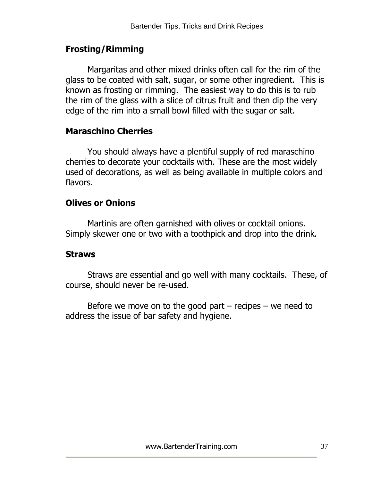### **Frosting/Rimming**

Margaritas and other mixed drinks often call for the rim of the glass to be coated with salt, sugar, or some other ingredient. This is known as frosting or rimming. The easiest way to do this is to rub the rim of the glass with a slice of citrus fruit and then dip the very edge of the rim into a small bowl filled with the sugar or salt.

#### **Maraschino Cherries**

You should always have a plentiful supply of red maraschino cherries to decorate your cocktails with. These are the most widely used of decorations, as well as being available in multiple colors and flavors.

#### **Olives or Onions**

Martinis are often garnished with olives or cocktail onions. Simply skewer one or two with a toothpick and drop into the drink.

#### **Straws**

Straws are essential and go well with many cocktails. These, of course, should never be re-used.

Before we move on to the good part  $-$  recipes  $-$  we need to address the issue of bar safety and hygiene.